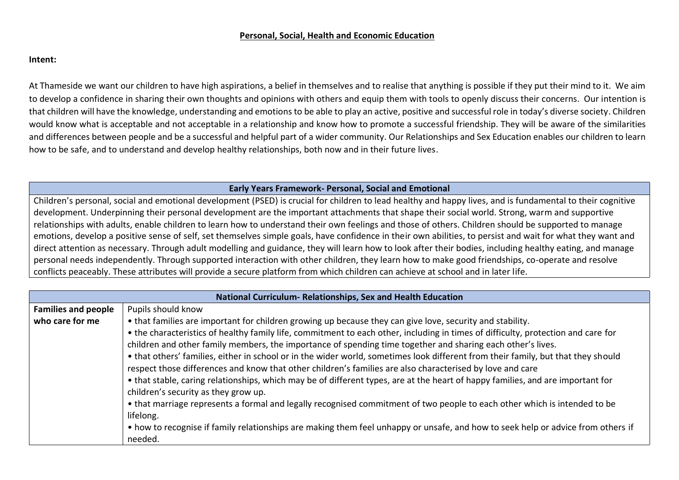## **Personal, Social, Health and Economic Education**

## **Intent:**

At Thameside we want our children to have high aspirations, a belief in themselves and to realise that anything is possible if they put their mind to it. We aim to develop a confidence in sharing their own thoughts and opinions with others and equip them with tools to openly discuss their concerns. Our intention is that children will have the knowledge, understanding and emotions to be able to play an active, positive and successful role in today's diverse society. Children would know what is acceptable and not acceptable in a relationship and know how to promote a successful friendship. They will be aware of the similarities and differences between people and be a successful and helpful part of a wider community. Our Relationships and Sex Education enables our children to learn how to be safe, and to understand and develop healthy relationships, both now and in their future lives.

## **Early Years Framework- Personal, Social and Emotional**

Children's personal, social and emotional development (PSED) is crucial for children to lead healthy and happy lives, and is fundamental to their cognitive development. Underpinning their personal development are the important attachments that shape their social world. Strong, warm and supportive relationships with adults, enable children to learn how to understand their own feelings and those of others. Children should be supported to manage emotions, develop a positive sense of self, set themselves simple goals, have confidence in their own abilities, to persist and wait for what they want and direct attention as necessary. Through adult modelling and guidance, they will learn how to look after their bodies, including healthy eating, and manage personal needs independently. Through supported interaction with other children, they learn how to make good friendships, co-operate and resolve conflicts peaceably. These attributes will provide a secure platform from which children can achieve at school and in later life.

| National Curriculum-Relationships, Sex and Health Education |                                                                                                                                                                                                                                                                                                                                                                                                                                                                                                                                                                                                                                                                                                                                                                                                                                                                                                                                                                                                                                                                                     |  |  |  |
|-------------------------------------------------------------|-------------------------------------------------------------------------------------------------------------------------------------------------------------------------------------------------------------------------------------------------------------------------------------------------------------------------------------------------------------------------------------------------------------------------------------------------------------------------------------------------------------------------------------------------------------------------------------------------------------------------------------------------------------------------------------------------------------------------------------------------------------------------------------------------------------------------------------------------------------------------------------------------------------------------------------------------------------------------------------------------------------------------------------------------------------------------------------|--|--|--|
| <b>Families and people</b>                                  | Pupils should know                                                                                                                                                                                                                                                                                                                                                                                                                                                                                                                                                                                                                                                                                                                                                                                                                                                                                                                                                                                                                                                                  |  |  |  |
| who care for me                                             | • that families are important for children growing up because they can give love, security and stability.<br>• the characteristics of healthy family life, commitment to each other, including in times of difficulty, protection and care for<br>children and other family members, the importance of spending time together and sharing each other's lives.<br>• that others' families, either in school or in the wider world, sometimes look different from their family, but that they should<br>respect those differences and know that other children's families are also characterised by love and care<br>• that stable, caring relationships, which may be of different types, are at the heart of happy families, and are important for<br>children's security as they grow up.<br>• that marriage represents a formal and legally recognised commitment of two people to each other which is intended to be<br>lifelong.<br>• how to recognise if family relationships are making them feel unhappy or unsafe, and how to seek help or advice from others if<br>needed. |  |  |  |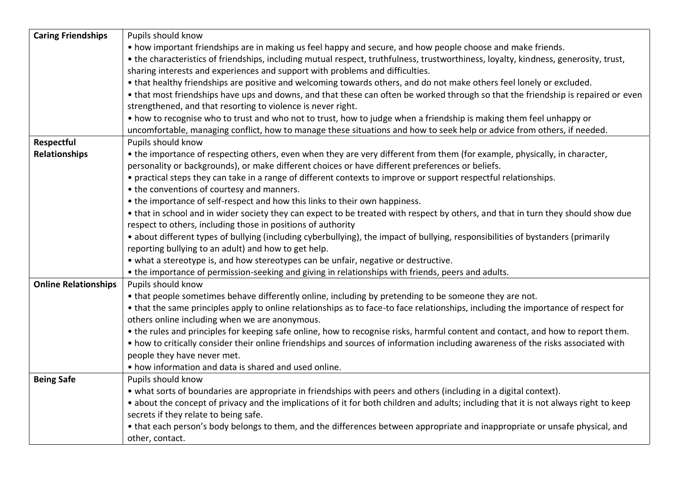| <b>Caring Friendships</b>   | Pupils should know                                                                                                                    |
|-----------------------------|---------------------------------------------------------------------------------------------------------------------------------------|
|                             | • how important friendships are in making us feel happy and secure, and how people choose and make friends.                           |
|                             | • the characteristics of friendships, including mutual respect, truthfulness, trustworthiness, loyalty, kindness, generosity, trust,  |
|                             | sharing interests and experiences and support with problems and difficulties.                                                         |
|                             | • that healthy friendships are positive and welcoming towards others, and do not make others feel lonely or excluded.                 |
|                             | • that most friendships have ups and downs, and that these can often be worked through so that the friendship is repaired or even     |
|                             | strengthened, and that resorting to violence is never right.                                                                          |
|                             | • how to recognise who to trust and who not to trust, how to judge when a friendship is making them feel unhappy or                   |
|                             | uncomfortable, managing conflict, how to manage these situations and how to seek help or advice from others, if needed.               |
| Respectful                  | Pupils should know                                                                                                                    |
| <b>Relationships</b>        | • the importance of respecting others, even when they are very different from them (for example, physically, in character,            |
|                             | personality or backgrounds), or make different choices or have different preferences or beliefs.                                      |
|                             | • practical steps they can take in a range of different contexts to improve or support respectful relationships.                      |
|                             | • the conventions of courtesy and manners.                                                                                            |
|                             | • the importance of self-respect and how this links to their own happiness.                                                           |
|                             | • that in school and in wider society they can expect to be treated with respect by others, and that in turn they should show due     |
|                             | respect to others, including those in positions of authority                                                                          |
|                             | • about different types of bullying (including cyberbullying), the impact of bullying, responsibilities of bystanders (primarily      |
|                             | reporting bullying to an adult) and how to get help.                                                                                  |
|                             | • what a stereotype is, and how stereotypes can be unfair, negative or destructive.                                                   |
|                             | • the importance of permission-seeking and giving in relationships with friends, peers and adults.                                    |
| <b>Online Relationships</b> | Pupils should know                                                                                                                    |
|                             | • that people sometimes behave differently online, including by pretending to be someone they are not.                                |
|                             | • that the same principles apply to online relationships as to face-to face relationships, including the importance of respect for    |
|                             | others online including when we are anonymous.                                                                                        |
|                             | • the rules and principles for keeping safe online, how to recognise risks, harmful content and contact, and how to report them.      |
|                             | • how to critically consider their online friendships and sources of information including awareness of the risks associated with     |
|                             | people they have never met.                                                                                                           |
|                             | • how information and data is shared and used online.                                                                                 |
| <b>Being Safe</b>           | Pupils should know                                                                                                                    |
|                             | • what sorts of boundaries are appropriate in friendships with peers and others (including in a digital context).                     |
|                             | • about the concept of privacy and the implications of it for both children and adults; including that it is not always right to keep |
|                             | secrets if they relate to being safe.                                                                                                 |
|                             | • that each person's body belongs to them, and the differences between appropriate and inappropriate or unsafe physical, and          |
|                             | other, contact.                                                                                                                       |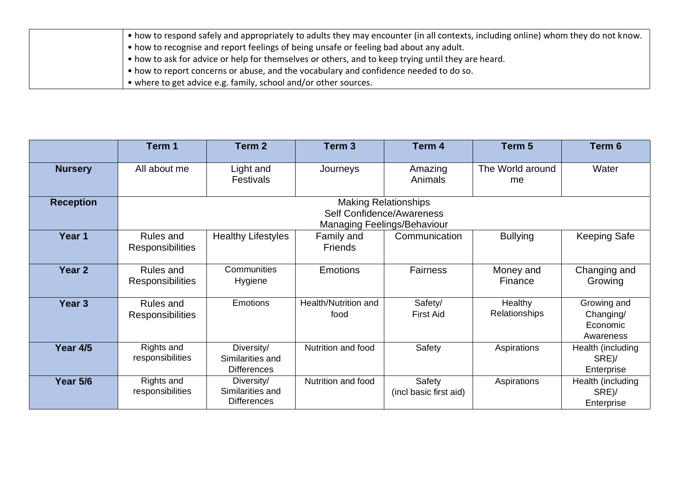| • how to respond safely and appropriately to adults they may encounter (in all contexts, including online) whom they do not know. |
|-----------------------------------------------------------------------------------------------------------------------------------|
| . • how to recognise and report feelings of being unsafe or feeling bad about any adult.                                          |
| • how to ask for advice or help for themselves or others, and to keep trying until they are heard.                                |
| • how to report concerns or abuse, and the vocabulary and confidence needed to do so.                                             |
| • where to get advice e.g. family, school and/or other sources.                                                                   |

|                   | Term 1                                                                                         | Term 2                                               | Term <sub>3</sub>            | Term 4                           | Term 5                   | Term 6                                            |
|-------------------|------------------------------------------------------------------------------------------------|------------------------------------------------------|------------------------------|----------------------------------|--------------------------|---------------------------------------------------|
| <b>Nursery</b>    | All about me                                                                                   | Light and<br><b>Festivals</b>                        | Journeys                     | Amazing<br>Animals               | The World around<br>me   | Water                                             |
| <b>Reception</b>  | <b>Making Relationships</b><br>Self Confidence/Awareness<br><b>Managing Feelings/Behaviour</b> |                                                      |                              |                                  |                          |                                                   |
| Year 1            | Rules and<br><b>Responsibilities</b>                                                           | <b>Healthy Lifestyles</b>                            | Family and<br><b>Friends</b> | Communication                    | <b>Bullying</b>          | <b>Keeping Safe</b>                               |
| Year <sub>2</sub> | Rules and<br><b>Responsibilities</b>                                                           | Communities<br>Hygiene                               | <b>Emotions</b>              | <b>Fairness</b>                  | Money and<br>Finance     | Changing and<br>Growing                           |
| Year 3            | Rules and<br><b>Responsibilities</b>                                                           | <b>Emotions</b>                                      | Health/Nutrition and<br>food | Safety/<br><b>First Aid</b>      | Healthy<br>Relationships | Growing and<br>Changing/<br>Economic<br>Awareness |
| Year 4/5          | Rights and<br>responsibilities                                                                 | Diversity/<br>Similarities and<br><b>Differences</b> | Nutrition and food           | Safety                           | Aspirations              | Health (including<br>SRE)/<br>Enterprise          |
| <b>Year 5/6</b>   | Rights and<br>responsibilities                                                                 | Diversity/<br>Similarities and<br><b>Differences</b> | Nutrition and food           | Safety<br>(incl basic first aid) | Aspirations              | Health (including<br>SRE)/<br>Enterprise          |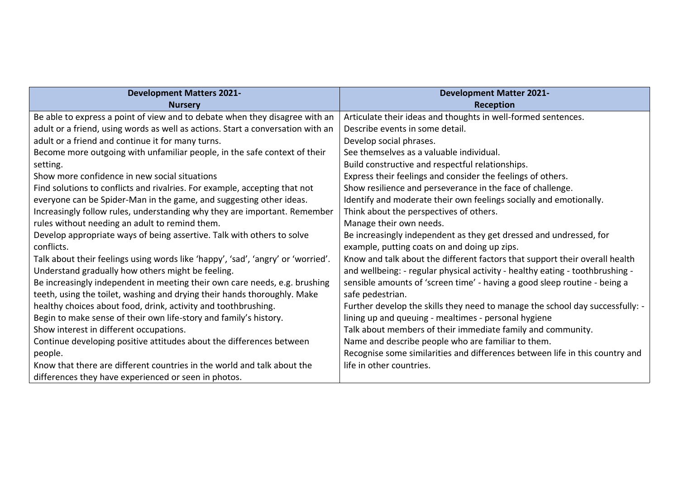| <b>Development Matters 2021-</b>                                                 | <b>Development Matter 2021-</b>                                               |
|----------------------------------------------------------------------------------|-------------------------------------------------------------------------------|
| <b>Nurserv</b>                                                                   | Reception                                                                     |
| Be able to express a point of view and to debate when they disagree with an      | Articulate their ideas and thoughts in well-formed sentences.                 |
| adult or a friend, using words as well as actions. Start a conversation with an  | Describe events in some detail.                                               |
| adult or a friend and continue it for many turns.                                | Develop social phrases.                                                       |
| Become more outgoing with unfamiliar people, in the safe context of their        | See themselves as a valuable individual.                                      |
| setting.                                                                         | Build constructive and respectful relationships.                              |
| Show more confidence in new social situations                                    | Express their feelings and consider the feelings of others.                   |
| Find solutions to conflicts and rivalries. For example, accepting that not       | Show resilience and perseverance in the face of challenge.                    |
| everyone can be Spider-Man in the game, and suggesting other ideas.              | Identify and moderate their own feelings socially and emotionally.            |
| Increasingly follow rules, understanding why they are important. Remember        | Think about the perspectives of others.                                       |
| rules without needing an adult to remind them.                                   | Manage their own needs.                                                       |
| Develop appropriate ways of being assertive. Talk with others to solve           | Be increasingly independent as they get dressed and undressed, for            |
| conflicts.                                                                       | example, putting coats on and doing up zips.                                  |
| Talk about their feelings using words like 'happy', 'sad', 'angry' or 'worried'. | Know and talk about the different factors that support their overall health   |
| Understand gradually how others might be feeling.                                | and wellbeing: - regular physical activity - healthy eating - toothbrushing - |
| Be increasingly independent in meeting their own care needs, e.g. brushing       | sensible amounts of 'screen time' - having a good sleep routine - being a     |
| teeth, using the toilet, washing and drying their hands thoroughly. Make         | safe pedestrian.                                                              |
| healthy choices about food, drink, activity and toothbrushing.                   | Further develop the skills they need to manage the school day successfully: - |
| Begin to make sense of their own life-story and family's history.                | lining up and queuing - mealtimes - personal hygiene                          |
| Show interest in different occupations.                                          | Talk about members of their immediate family and community.                   |
| Continue developing positive attitudes about the differences between             | Name and describe people who are familiar to them.                            |
| people.                                                                          | Recognise some similarities and differences between life in this country and  |
| Know that there are different countries in the world and talk about the          | life in other countries.                                                      |
| differences they have experienced or seen in photos.                             |                                                                               |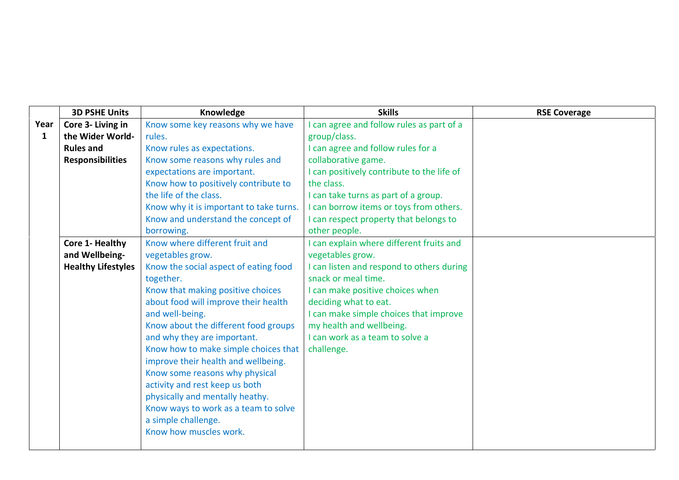|              | <b>3D PSHE Units</b>      | Knowledge                               | <b>Skills</b>                              | <b>RSE Coverage</b> |
|--------------|---------------------------|-----------------------------------------|--------------------------------------------|---------------------|
| Year         | Core 3- Living in         | Know some key reasons why we have       | I can agree and follow rules as part of a  |                     |
| $\mathbf{1}$ | the Wider World-          | rules.                                  | group/class.                               |                     |
|              | <b>Rules and</b>          | Know rules as expectations.             | I can agree and follow rules for a         |                     |
|              | <b>Responsibilities</b>   | Know some reasons why rules and         | collaborative game.                        |                     |
|              |                           | expectations are important.             | I can positively contribute to the life of |                     |
|              |                           | Know how to positively contribute to    | the class.                                 |                     |
|              |                           | the life of the class.                  | I can take turns as part of a group.       |                     |
|              |                           | Know why it is important to take turns. | I can borrow items or toys from others.    |                     |
|              |                           | Know and understand the concept of      | I can respect property that belongs to     |                     |
|              |                           | borrowing.                              | other people.                              |                     |
|              | Core 1- Healthy           | Know where different fruit and          | I can explain where different fruits and   |                     |
|              | and Wellbeing-            | vegetables grow.                        | vegetables grow.                           |                     |
|              | <b>Healthy Lifestyles</b> | Know the social aspect of eating food   | I can listen and respond to others during  |                     |
|              |                           | together.                               | snack or meal time.                        |                     |
|              |                           | Know that making positive choices       | I can make positive choices when           |                     |
|              |                           | about food will improve their health    | deciding what to eat.                      |                     |
|              |                           | and well-being.                         | I can make simple choices that improve     |                     |
|              |                           | Know about the different food groups    | my health and wellbeing.                   |                     |
|              |                           | and why they are important.             | I can work as a team to solve a            |                     |
|              |                           | Know how to make simple choices that    | challenge.                                 |                     |
|              |                           | improve their health and wellbeing.     |                                            |                     |
|              |                           | Know some reasons why physical          |                                            |                     |
|              |                           | activity and rest keep us both          |                                            |                     |
|              |                           | physically and mentally heathy.         |                                            |                     |
|              |                           | Know ways to work as a team to solve    |                                            |                     |
|              |                           | a simple challenge.                     |                                            |                     |
|              |                           | Know how muscles work.                  |                                            |                     |
|              |                           |                                         |                                            |                     |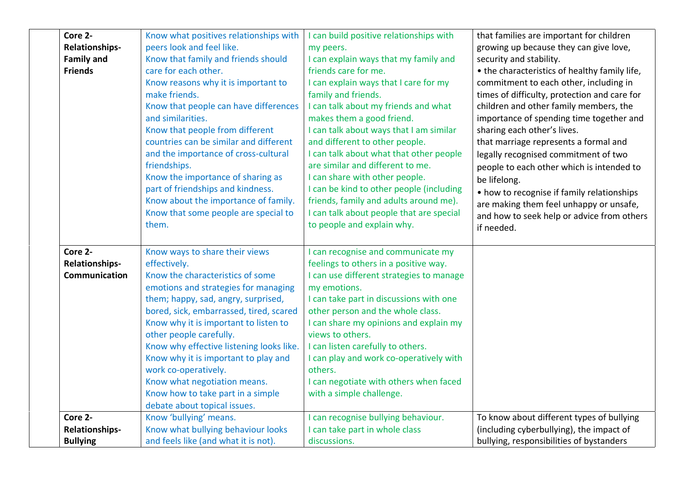| Core 2-           | Know what positives relationships with   | I can build positive relationships with  | that families are important for children      |
|-------------------|------------------------------------------|------------------------------------------|-----------------------------------------------|
| Relationships-    | peers look and feel like.                | my peers.                                | growing up because they can give love,        |
| <b>Family and</b> | Know that family and friends should      | I can explain ways that my family and    | security and stability.                       |
| <b>Friends</b>    | care for each other.                     | friends care for me.                     | • the characteristics of healthy family life, |
|                   | Know reasons why it is important to      | I can explain ways that I care for my    | commitment to each other, including in        |
|                   | make friends.                            | family and friends.                      | times of difficulty, protection and care for  |
|                   | Know that people can have differences    | I can talk about my friends and what     | children and other family members, the        |
|                   | and similarities.                        | makes them a good friend.                | importance of spending time together and      |
|                   | Know that people from different          | I can talk about ways that I am similar  | sharing each other's lives.                   |
|                   | countries can be similar and different   | and different to other people.           | that marriage represents a formal and         |
|                   | and the importance of cross-cultural     | I can talk about what that other people  | legally recognised commitment of two          |
|                   | friendships.                             | are similar and different to me.         | people to each other which is intended to     |
|                   | Know the importance of sharing as        | I can share with other people.           | be lifelong.                                  |
|                   | part of friendships and kindness.        | I can be kind to other people (including | • how to recognise if family relationships    |
|                   | Know about the importance of family.     | friends, family and adults around me).   | are making them feel unhappy or unsafe,       |
|                   | Know that some people are special to     | I can talk about people that are special | and how to seek help or advice from others    |
|                   | them.                                    | to people and explain why.               | if needed.                                    |
| Core 2-           | Know ways to share their views           | can recognise and communicate my         |                                               |
| Relationships-    | effectively.                             | feelings to others in a positive way.    |                                               |
| Communication     | Know the characteristics of some         | I can use different strategies to manage |                                               |
|                   | emotions and strategies for managing     | my emotions.                             |                                               |
|                   | them; happy, sad, angry, surprised,      | I can take part in discussions with one  |                                               |
|                   | bored, sick, embarrassed, tired, scared  | other person and the whole class.        |                                               |
|                   | Know why it is important to listen to    | I can share my opinions and explain my   |                                               |
|                   | other people carefully.                  | views to others.                         |                                               |
|                   | Know why effective listening looks like. | I can listen carefully to others.        |                                               |
|                   | Know why it is important to play and     | I can play and work co-operatively with  |                                               |
|                   | work co-operatively.                     | others.                                  |                                               |
|                   | Know what negotiation means.             | I can negotiate with others when faced   |                                               |
|                   | Know how to take part in a simple        | with a simple challenge.                 |                                               |
|                   | debate about topical issues.             |                                          |                                               |
| Core 2-           | Know 'bullying' means.                   | I can recognise bullying behaviour.      | To know about different types of bullying     |
| Relationships-    | Know what bullying behaviour looks       | I can take part in whole class           | (including cyberbullying), the impact of      |
| <b>Bullying</b>   | and feels like (and what it is not).     | discussions.                             | bullying, responsibilities of bystanders      |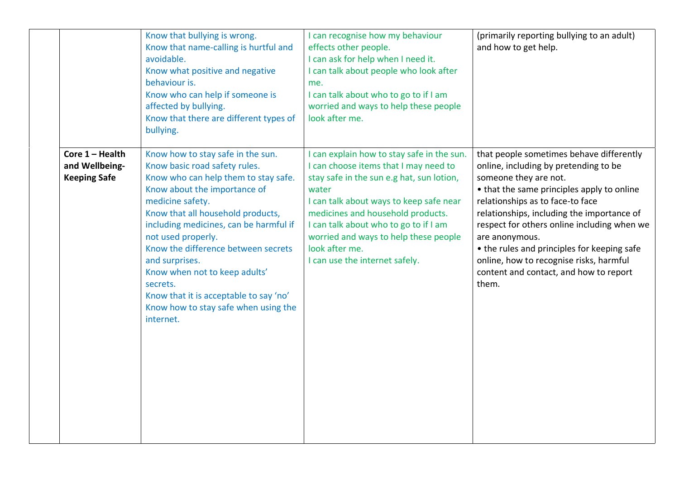|                                                            | Know that bullying is wrong.<br>Know that name-calling is hurtful and<br>avoidable.<br>Know what positive and negative<br>behaviour is.<br>Know who can help if someone is<br>affected by bullying.<br>Know that there are different types of<br>bullying.                                                                                                                                                                                                               | I can recognise how my behaviour<br>effects other people.<br>I can ask for help when I need it.<br>I can talk about people who look after<br>me.<br>I can talk about who to go to if I am<br>worried and ways to help these people<br>look after me.                                                                                                            | (primarily reporting bullying to an adult)<br>and how to get help.                                                                                                                                                                                                                                                                                                                                                                                       |
|------------------------------------------------------------|--------------------------------------------------------------------------------------------------------------------------------------------------------------------------------------------------------------------------------------------------------------------------------------------------------------------------------------------------------------------------------------------------------------------------------------------------------------------------|-----------------------------------------------------------------------------------------------------------------------------------------------------------------------------------------------------------------------------------------------------------------------------------------------------------------------------------------------------------------|----------------------------------------------------------------------------------------------------------------------------------------------------------------------------------------------------------------------------------------------------------------------------------------------------------------------------------------------------------------------------------------------------------------------------------------------------------|
| Core $1 -$ Health<br>and Wellbeing-<br><b>Keeping Safe</b> | Know how to stay safe in the sun.<br>Know basic road safety rules.<br>Know who can help them to stay safe.<br>Know about the importance of<br>medicine safety.<br>Know that all household products,<br>including medicines, can be harmful if<br>not used properly.<br>Know the difference between secrets<br>and surprises.<br>Know when not to keep adults'<br>secrets.<br>Know that it is acceptable to say 'no'<br>Know how to stay safe when using the<br>internet. | I can explain how to stay safe in the sun.<br>I can choose items that I may need to<br>stay safe in the sun e.g hat, sun lotion,<br>water<br>I can talk about ways to keep safe near<br>medicines and household products.<br>I can talk about who to go to if I am<br>worried and ways to help these people<br>look after me.<br>I can use the internet safely. | that people sometimes behave differently<br>online, including by pretending to be<br>someone they are not.<br>• that the same principles apply to online<br>relationships as to face-to face<br>relationships, including the importance of<br>respect for others online including when we<br>are anonymous.<br>• the rules and principles for keeping safe<br>online, how to recognise risks, harmful<br>content and contact, and how to report<br>them. |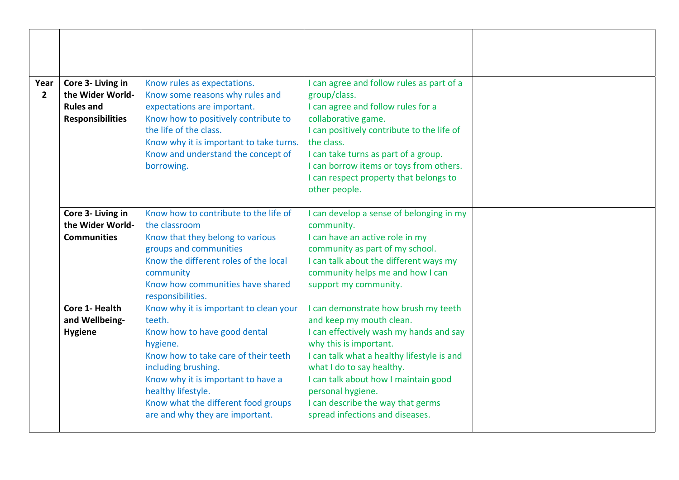| Year<br>$\overline{2}$ | Core 3- Living in<br>the Wider World-<br><b>Rules and</b><br><b>Responsibilities</b> | Know rules as expectations.<br>Know some reasons why rules and<br>expectations are important.<br>Know how to positively contribute to<br>the life of the class.<br>Know why it is important to take turns.<br>Know and understand the concept of<br>borrowing.                                    | I can agree and follow rules as part of a<br>group/class.<br>I can agree and follow rules for a<br>collaborative game.<br>I can positively contribute to the life of<br>the class.<br>I can take turns as part of a group.<br>I can borrow items or toys from others.<br>I can respect property that belongs to<br>other people.                      |  |
|------------------------|--------------------------------------------------------------------------------------|---------------------------------------------------------------------------------------------------------------------------------------------------------------------------------------------------------------------------------------------------------------------------------------------------|-------------------------------------------------------------------------------------------------------------------------------------------------------------------------------------------------------------------------------------------------------------------------------------------------------------------------------------------------------|--|
|                        | Core 3- Living in<br>the Wider World-<br><b>Communities</b>                          | Know how to contribute to the life of<br>the classroom<br>Know that they belong to various<br>groups and communities<br>Know the different roles of the local<br>community<br>Know how communities have shared<br>responsibilities.                                                               | I can develop a sense of belonging in my<br>community.<br>I can have an active role in my<br>community as part of my school.<br>I can talk about the different ways my<br>community helps me and how I can<br>support my community.                                                                                                                   |  |
|                        | Core 1- Health<br>and Wellbeing-<br><b>Hygiene</b>                                   | Know why it is important to clean your<br>teeth.<br>Know how to have good dental<br>hygiene.<br>Know how to take care of their teeth<br>including brushing.<br>Know why it is important to have a<br>healthy lifestyle.<br>Know what the different food groups<br>are and why they are important. | I can demonstrate how brush my teeth<br>and keep my mouth clean.<br>I can effectively wash my hands and say<br>why this is important.<br>I can talk what a healthy lifestyle is and<br>what I do to say healthy.<br>I can talk about how I maintain good<br>personal hygiene.<br>I can describe the way that germs<br>spread infections and diseases. |  |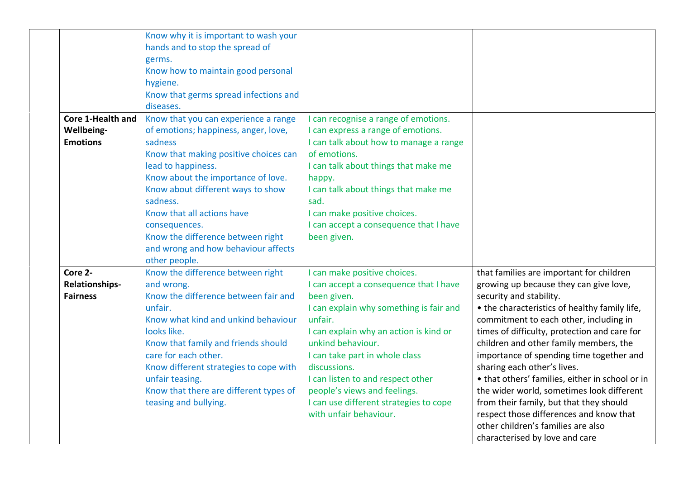| Core 1-Health and | Know why it is important to wash your<br>hands and to stop the spread of<br>germs.<br>Know how to maintain good personal<br>hygiene.<br>Know that germs spread infections and<br>diseases.<br>Know that you can experience a range | I can recognise a range of emotions.           |                                                                                |
|-------------------|------------------------------------------------------------------------------------------------------------------------------------------------------------------------------------------------------------------------------------|------------------------------------------------|--------------------------------------------------------------------------------|
| <b>Wellbeing-</b> | of emotions; happiness, anger, love,                                                                                                                                                                                               | I can express a range of emotions.             |                                                                                |
| <b>Emotions</b>   | sadness                                                                                                                                                                                                                            | I can talk about how to manage a range         |                                                                                |
|                   | Know that making positive choices can                                                                                                                                                                                              | of emotions.                                   |                                                                                |
|                   | lead to happiness.                                                                                                                                                                                                                 | I can talk about things that make me           |                                                                                |
|                   | Know about the importance of love.<br>Know about different ways to show                                                                                                                                                            | happy.<br>I can talk about things that make me |                                                                                |
|                   | sadness.                                                                                                                                                                                                                           | sad.                                           |                                                                                |
|                   | Know that all actions have                                                                                                                                                                                                         | I can make positive choices.                   |                                                                                |
|                   | consequences.                                                                                                                                                                                                                      | I can accept a consequence that I have         |                                                                                |
|                   | Know the difference between right                                                                                                                                                                                                  | been given.                                    |                                                                                |
|                   | and wrong and how behaviour affects                                                                                                                                                                                                |                                                |                                                                                |
|                   | other people.                                                                                                                                                                                                                      |                                                |                                                                                |
| Core 2-           | Know the difference between right                                                                                                                                                                                                  | I can make positive choices.                   | that families are important for children                                       |
| Relationships-    | and wrong.                                                                                                                                                                                                                         | I can accept a consequence that I have         | growing up because they can give love,                                         |
| <b>Fairness</b>   | Know the difference between fair and                                                                                                                                                                                               | been given.                                    | security and stability.                                                        |
|                   | unfair.                                                                                                                                                                                                                            | I can explain why something is fair and        | • the characteristics of healthy family life,                                  |
|                   | Know what kind and unkind behaviour                                                                                                                                                                                                | unfair.                                        | commitment to each other, including in                                         |
|                   | looks like.                                                                                                                                                                                                                        | I can explain why an action is kind or         | times of difficulty, protection and care for                                   |
|                   | Know that family and friends should                                                                                                                                                                                                | unkind behaviour.                              | children and other family members, the                                         |
|                   | care for each other.                                                                                                                                                                                                               | I can take part in whole class<br>discussions. | importance of spending time together and                                       |
|                   | Know different strategies to cope with<br>unfair teasing.                                                                                                                                                                          | I can listen to and respect other              | sharing each other's lives.<br>• that others' families, either in school or in |
|                   | Know that there are different types of                                                                                                                                                                                             | people's views and feelings.                   | the wider world, sometimes look different                                      |
|                   | teasing and bullying.                                                                                                                                                                                                              | I can use different strategies to cope         | from their family, but that they should                                        |
|                   |                                                                                                                                                                                                                                    | with unfair behaviour.                         | respect those differences and know that                                        |
|                   |                                                                                                                                                                                                                                    |                                                | other children's families are also                                             |
|                   |                                                                                                                                                                                                                                    |                                                | characterised by love and care                                                 |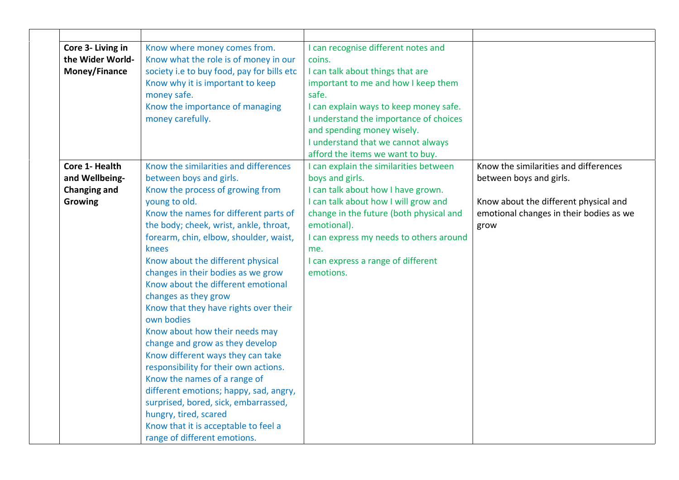| Core 3- Living in<br>the Wider World-<br>Money/Finance             | Know where money comes from.<br>Know what the role is of money in our<br>society i.e to buy food, pay for bills etc<br>Know why it is important to keep<br>money safe.<br>Know the importance of managing<br>money carefully.                                                                                                                                                                                                                                                                                                                                                                                                                                                                                                                                                                                                     | I can recognise different notes and<br>coins.<br>I can talk about things that are<br>important to me and how I keep them<br>safe.<br>I can explain ways to keep money safe.<br>I understand the importance of choices<br>and spending money wisely.<br>I understand that we cannot always<br>afford the items we want to buy. |                                                                                                                                                              |
|--------------------------------------------------------------------|-----------------------------------------------------------------------------------------------------------------------------------------------------------------------------------------------------------------------------------------------------------------------------------------------------------------------------------------------------------------------------------------------------------------------------------------------------------------------------------------------------------------------------------------------------------------------------------------------------------------------------------------------------------------------------------------------------------------------------------------------------------------------------------------------------------------------------------|-------------------------------------------------------------------------------------------------------------------------------------------------------------------------------------------------------------------------------------------------------------------------------------------------------------------------------|--------------------------------------------------------------------------------------------------------------------------------------------------------------|
| Core 1- Health<br>and Wellbeing-<br><b>Changing and</b><br>Growing | Know the similarities and differences<br>between boys and girls.<br>Know the process of growing from<br>young to old.<br>Know the names for different parts of<br>the body; cheek, wrist, ankle, throat,<br>forearm, chin, elbow, shoulder, waist,<br>knees<br>Know about the different physical<br>changes in their bodies as we grow<br>Know about the different emotional<br>changes as they grow<br>Know that they have rights over their<br>own bodies<br>Know about how their needs may<br>change and grow as they develop<br>Know different ways they can take<br>responsibility for their own actions.<br>Know the names of a range of<br>different emotions; happy, sad, angry,<br>surprised, bored, sick, embarrassed,<br>hungry, tired, scared<br>Know that it is acceptable to feel a<br>range of different emotions. | I can explain the similarities between<br>boys and girls.<br>I can talk about how I have grown.<br>I can talk about how I will grow and<br>change in the future (both physical and<br>emotional).<br>I can express my needs to others around<br>me.<br>I can express a range of different<br>emotions.                        | Know the similarities and differences<br>between boys and girls.<br>Know about the different physical and<br>emotional changes in their bodies as we<br>grow |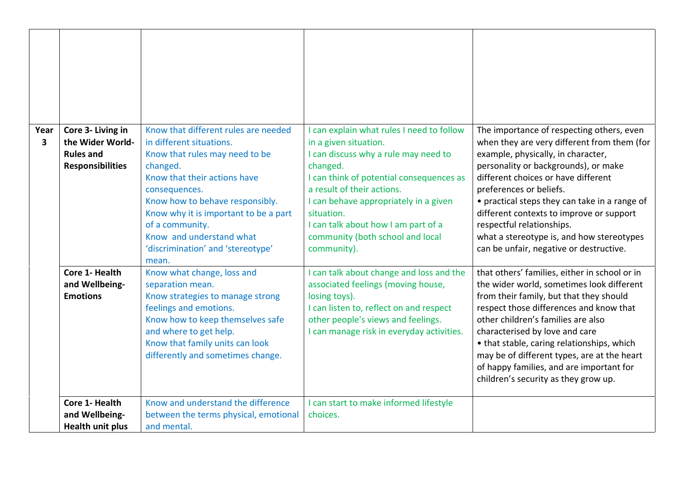| Year<br>$\mathbf{3}$ | Core 3- Living in<br>the Wider World-<br><b>Rules and</b><br><b>Responsibilities</b> | Know that different rules are needed<br>in different situations.<br>Know that rules may need to be<br>changed.<br>Know that their actions have<br>consequences.<br>Know how to behave responsibly.<br>Know why it is important to be a part<br>of a community.<br>Know and understand what<br>'discrimination' and 'stereotype'<br>mean. | I can explain what rules I need to follow<br>in a given situation.<br>I can discuss why a rule may need to<br>changed.<br>I can think of potential consequences as<br>a result of their actions.<br>I can behave appropriately in a given<br>situation.<br>I can talk about how I am part of a<br>community (both school and local<br>community). | The importance of respecting others, even<br>when they are very different from them (for<br>example, physically, in character,<br>personality or backgrounds), or make<br>different choices or have different<br>preferences or beliefs.<br>• practical steps they can take in a range of<br>different contexts to improve or support<br>respectful relationships.<br>what a stereotype is, and how stereotypes<br>can be unfair, negative or destructive. |
|----------------------|--------------------------------------------------------------------------------------|------------------------------------------------------------------------------------------------------------------------------------------------------------------------------------------------------------------------------------------------------------------------------------------------------------------------------------------|---------------------------------------------------------------------------------------------------------------------------------------------------------------------------------------------------------------------------------------------------------------------------------------------------------------------------------------------------|------------------------------------------------------------------------------------------------------------------------------------------------------------------------------------------------------------------------------------------------------------------------------------------------------------------------------------------------------------------------------------------------------------------------------------------------------------|
|                      | Core 1- Health<br>and Wellbeing-<br><b>Emotions</b>                                  | Know what change, loss and<br>separation mean.<br>Know strategies to manage strong<br>feelings and emotions.<br>Know how to keep themselves safe<br>and where to get help.<br>Know that family units can look<br>differently and sometimes change.                                                                                       | I can talk about change and loss and the<br>associated feelings (moving house,<br>losing toys).<br>I can listen to, reflect on and respect<br>other people's views and feelings.<br>I can manage risk in everyday activities.                                                                                                                     | that others' families, either in school or in<br>the wider world, sometimes look different<br>from their family, but that they should<br>respect those differences and know that<br>other children's families are also<br>characterised by love and care<br>• that stable, caring relationships, which<br>may be of different types, are at the heart<br>of happy families, and are important for<br>children's security as they grow up.                  |
|                      | Core 1- Health<br>and Wellbeing-<br><b>Health unit plus</b>                          | Know and understand the difference<br>between the terms physical, emotional<br>and mental.                                                                                                                                                                                                                                               | I can start to make informed lifestyle<br>choices.                                                                                                                                                                                                                                                                                                |                                                                                                                                                                                                                                                                                                                                                                                                                                                            |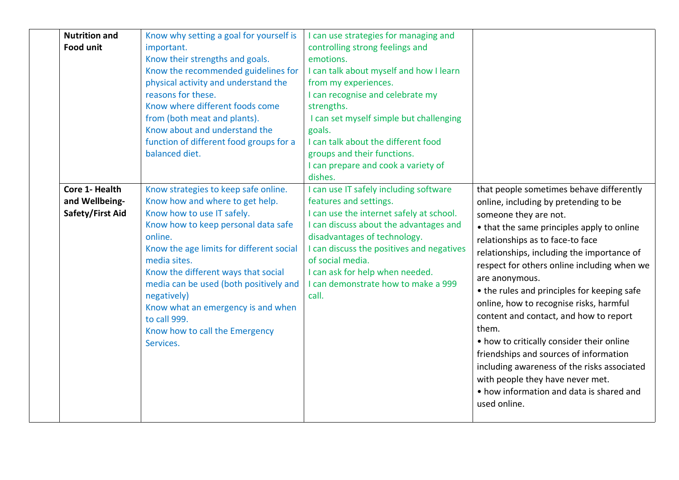| <b>Nutrition and</b><br><b>Food unit</b>             | Know why setting a goal for yourself is<br>important.<br>Know their strengths and goals.<br>Know the recommended guidelines for<br>physical activity and understand the<br>reasons for these.<br>Know where different foods come<br>from (both meat and plants).<br>Know about and understand the<br>function of different food groups for a<br>balanced diet.                                                           | I can use strategies for managing and<br>controlling strong feelings and<br>emotions.<br>I can talk about myself and how I learn<br>from my experiences.<br>I can recognise and celebrate my<br>strengths.<br>I can set myself simple but challenging<br>goals.<br>I can talk about the different food<br>groups and their functions.<br>I can prepare and cook a variety of<br>dishes. |                                                                                                                                                                                                                                                                                                                                                                                                                                                                                                                                                                                                                                                                                                |
|------------------------------------------------------|--------------------------------------------------------------------------------------------------------------------------------------------------------------------------------------------------------------------------------------------------------------------------------------------------------------------------------------------------------------------------------------------------------------------------|-----------------------------------------------------------------------------------------------------------------------------------------------------------------------------------------------------------------------------------------------------------------------------------------------------------------------------------------------------------------------------------------|------------------------------------------------------------------------------------------------------------------------------------------------------------------------------------------------------------------------------------------------------------------------------------------------------------------------------------------------------------------------------------------------------------------------------------------------------------------------------------------------------------------------------------------------------------------------------------------------------------------------------------------------------------------------------------------------|
| Core 1- Health<br>and Wellbeing-<br>Safety/First Aid | Know strategies to keep safe online.<br>Know how and where to get help.<br>Know how to use IT safely.<br>Know how to keep personal data safe<br>online.<br>Know the age limits for different social<br>media sites.<br>Know the different ways that social<br>media can be used (both positively and<br>negatively)<br>Know what an emergency is and when<br>to call 999.<br>Know how to call the Emergency<br>Services. | I can use IT safely including software<br>features and settings.<br>I can use the internet safely at school.<br>I can discuss about the advantages and<br>disadvantages of technology.<br>I can discuss the positives and negatives<br>of social media.<br>I can ask for help when needed.<br>I can demonstrate how to make a 999<br>call.                                              | that people sometimes behave differently<br>online, including by pretending to be<br>someone they are not.<br>• that the same principles apply to online<br>relationships as to face-to face<br>relationships, including the importance of<br>respect for others online including when we<br>are anonymous.<br>• the rules and principles for keeping safe<br>online, how to recognise risks, harmful<br>content and contact, and how to report<br>them.<br>• how to critically consider their online<br>friendships and sources of information<br>including awareness of the risks associated<br>with people they have never met.<br>• how information and data is shared and<br>used online. |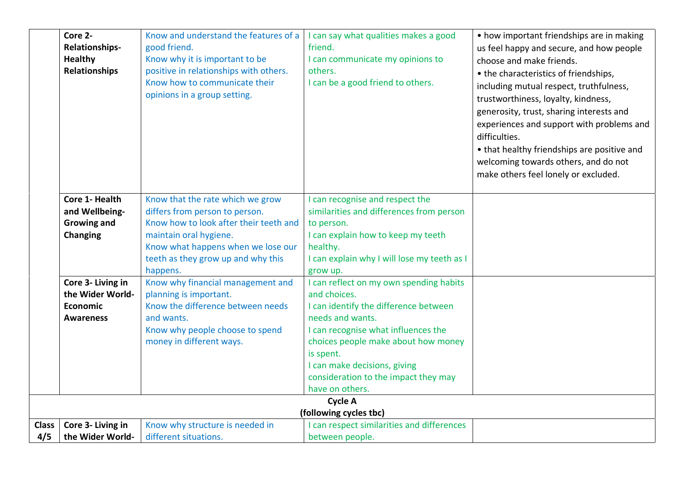|                | Core 2-<br><b>Relationships-</b><br><b>Healthy</b><br><b>Relationships</b> | Know and understand the features of a<br>good friend.<br>Know why it is important to be<br>positive in relationships with others.<br>Know how to communicate their<br>opinions in a group setting.                             | I can say what qualities makes a good<br>friend.<br>I can communicate my opinions to<br>others.<br>I can be a good friend to others.                                                                                                                                                                       | • how important friendships are in making<br>us feel happy and secure, and how people<br>choose and make friends.<br>• the characteristics of friendships,<br>including mutual respect, truthfulness,<br>trustworthiness, loyalty, kindness,<br>generosity, trust, sharing interests and<br>experiences and support with problems and<br>difficulties.<br>• that healthy friendships are positive and<br>welcoming towards others, and do not<br>make others feel lonely or excluded. |
|----------------|----------------------------------------------------------------------------|--------------------------------------------------------------------------------------------------------------------------------------------------------------------------------------------------------------------------------|------------------------------------------------------------------------------------------------------------------------------------------------------------------------------------------------------------------------------------------------------------------------------------------------------------|---------------------------------------------------------------------------------------------------------------------------------------------------------------------------------------------------------------------------------------------------------------------------------------------------------------------------------------------------------------------------------------------------------------------------------------------------------------------------------------|
|                | Core 1- Health<br>and Wellbeing-<br><b>Growing and</b><br><b>Changing</b>  | Know that the rate which we grow<br>differs from person to person.<br>Know how to look after their teeth and<br>maintain oral hygiene.<br>Know what happens when we lose our<br>teeth as they grow up and why this<br>happens. | I can recognise and respect the<br>similarities and differences from person<br>to person.<br>I can explain how to keep my teeth<br>healthy.<br>I can explain why I will lose my teeth as I<br>grow up.                                                                                                     |                                                                                                                                                                                                                                                                                                                                                                                                                                                                                       |
|                | Core 3- Living in<br>the Wider World-<br>Economic<br><b>Awareness</b>      | Know why financial management and<br>planning is important.<br>Know the difference between needs<br>and wants.<br>Know why people choose to spend<br>money in different ways.                                                  | I can reflect on my own spending habits<br>and choices.<br>I can identify the difference between<br>needs and wants.<br>I can recognise what influences the<br>choices people make about how money<br>is spent.<br>I can make decisions, giving<br>consideration to the impact they may<br>have on others. |                                                                                                                                                                                                                                                                                                                                                                                                                                                                                       |
|                |                                                                            |                                                                                                                                                                                                                                | <b>Cycle A</b><br>(following cycles tbc)                                                                                                                                                                                                                                                                   |                                                                                                                                                                                                                                                                                                                                                                                                                                                                                       |
| Class  <br>4/5 | Core 3- Living in<br>the Wider World-                                      | Know why structure is needed in<br>different situations.                                                                                                                                                                       | I can respect similarities and differences<br>between people.                                                                                                                                                                                                                                              |                                                                                                                                                                                                                                                                                                                                                                                                                                                                                       |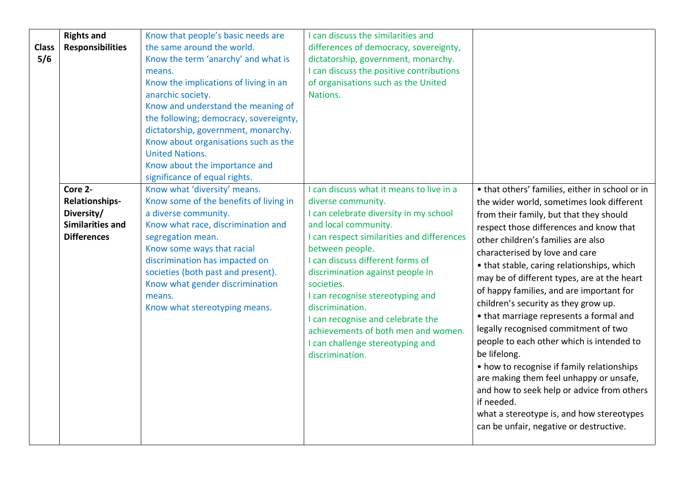| <b>Class</b><br>5/6 | <b>Rights and</b><br><b>Responsibilities</b>                                                    | Know that people's basic needs are<br>the same around the world.<br>Know the term 'anarchy' and what is<br>means.<br>Know the implications of living in an<br>anarchic society.<br>Know and understand the meaning of<br>the following; democracy, sovereignty,<br>dictatorship, government, monarchy.<br>Know about organisations such as the<br><b>United Nations.</b><br>Know about the importance and<br>significance of equal rights. | I can discuss the similarities and<br>differences of democracy, sovereignty,<br>dictatorship, government, monarchy.<br>I can discuss the positive contributions<br>of organisations such as the United<br>Nations.                                                                                                                                                                                                                                                                |                                                                                                                                                                                                                                                                                                                                                                                                                                                                                                                                                                                                                                                                                                                                                                                                                                          |
|---------------------|-------------------------------------------------------------------------------------------------|--------------------------------------------------------------------------------------------------------------------------------------------------------------------------------------------------------------------------------------------------------------------------------------------------------------------------------------------------------------------------------------------------------------------------------------------|-----------------------------------------------------------------------------------------------------------------------------------------------------------------------------------------------------------------------------------------------------------------------------------------------------------------------------------------------------------------------------------------------------------------------------------------------------------------------------------|------------------------------------------------------------------------------------------------------------------------------------------------------------------------------------------------------------------------------------------------------------------------------------------------------------------------------------------------------------------------------------------------------------------------------------------------------------------------------------------------------------------------------------------------------------------------------------------------------------------------------------------------------------------------------------------------------------------------------------------------------------------------------------------------------------------------------------------|
|                     | Core 2-<br><b>Relationships-</b><br>Diversity/<br><b>Similarities and</b><br><b>Differences</b> | Know what 'diversity' means.<br>Know some of the benefits of living in<br>a diverse community.<br>Know what race, discrimination and<br>segregation mean.<br>Know some ways that racial<br>discrimination has impacted on<br>societies (both past and present).<br>Know what gender discrimination<br>means.<br>Know what stereotyping means.                                                                                              | I can discuss what it means to live in a<br>diverse community.<br>I can celebrate diversity in my school<br>and local community.<br>I can respect similarities and differences<br>between people.<br>I can discuss different forms of<br>discrimination against people in<br>societies.<br>I can recognise stereotyping and<br>discrimination.<br>I can recognise and celebrate the<br>achievements of both men and women.<br>I can challenge stereotyping and<br>discrimination. | • that others' families, either in school or in<br>the wider world, sometimes look different<br>from their family, but that they should<br>respect those differences and know that<br>other children's families are also<br>characterised by love and care<br>• that stable, caring relationships, which<br>may be of different types, are at the heart<br>of happy families, and are important for<br>children's security as they grow up.<br>• that marriage represents a formal and<br>legally recognised commitment of two<br>people to each other which is intended to<br>be lifelong.<br>• how to recognise if family relationships<br>are making them feel unhappy or unsafe,<br>and how to seek help or advice from others<br>if needed.<br>what a stereotype is, and how stereotypes<br>can be unfair, negative or destructive. |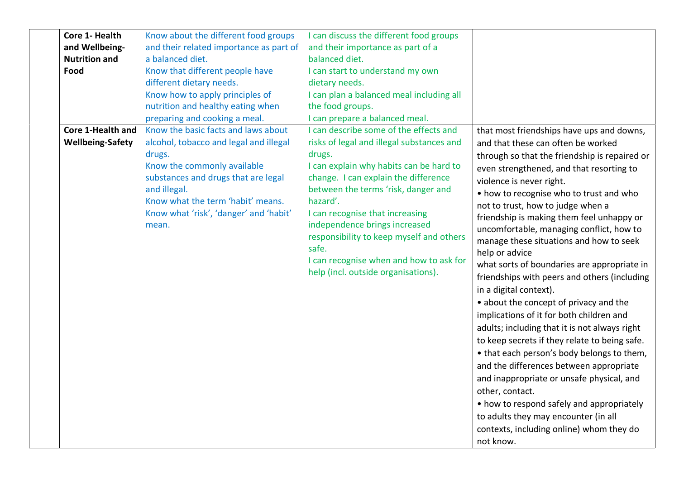| Core 1- Health          | Know about the different food groups    | I can discuss the different food groups   |                                               |
|-------------------------|-----------------------------------------|-------------------------------------------|-----------------------------------------------|
| and Wellbeing-          | and their related importance as part of | and their importance as part of a         |                                               |
| <b>Nutrition and</b>    | a balanced diet.                        | balanced diet.                            |                                               |
| Food                    | Know that different people have         | I can start to understand my own          |                                               |
|                         | different dietary needs.                | dietary needs.                            |                                               |
|                         | Know how to apply principles of         | I can plan a balanced meal including all  |                                               |
|                         | nutrition and healthy eating when       | the food groups.                          |                                               |
|                         | preparing and cooking a meal.           | I can prepare a balanced meal.            |                                               |
| Core 1-Health and       | Know the basic facts and laws about     | I can describe some of the effects and    | that most friendships have ups and downs,     |
| <b>Wellbeing-Safety</b> | alcohol, tobacco and legal and illegal  | risks of legal and illegal substances and | and that these can often be worked            |
| drugs.                  |                                         | drugs.                                    | through so that the friendship is repaired or |
|                         | Know the commonly available             | I can explain why habits can be hard to   | even strengthened, and that resorting to      |
|                         | substances and drugs that are legal     | change. I can explain the difference      | violence is never right.                      |
| and illegal.            |                                         | between the terms 'risk, danger and       | • how to recognise who to trust and who       |
|                         | Know what the term 'habit' means.       | hazard'.                                  | not to trust, how to judge when a             |
|                         | Know what 'risk', 'danger' and 'habit'  | I can recognise that increasing           | friendship is making them feel unhappy or     |
| mean.                   |                                         | independence brings increased             | uncomfortable, managing conflict, how to      |
|                         |                                         | responsibility to keep myself and others  | manage these situations and how to seek       |
|                         |                                         | safe.                                     | help or advice                                |
|                         |                                         | I can recognise when and how to ask for   | what sorts of boundaries are appropriate in   |
|                         |                                         | help (incl. outside organisations).       | friendships with peers and others (including  |
|                         |                                         |                                           | in a digital context).                        |
|                         |                                         |                                           | • about the concept of privacy and the        |
|                         |                                         |                                           | implications of it for both children and      |
|                         |                                         |                                           | adults; including that it is not always right |
|                         |                                         |                                           | to keep secrets if they relate to being safe. |
|                         |                                         |                                           | • that each person's body belongs to them,    |
|                         |                                         |                                           | and the differences between appropriate       |
|                         |                                         |                                           | and inappropriate or unsafe physical, and     |
|                         |                                         |                                           | other, contact.                               |
|                         |                                         |                                           | • how to respond safely and appropriately     |
|                         |                                         |                                           | to adults they may encounter (in all          |
|                         |                                         |                                           | contexts, including online) whom they do      |
|                         |                                         |                                           | not know.                                     |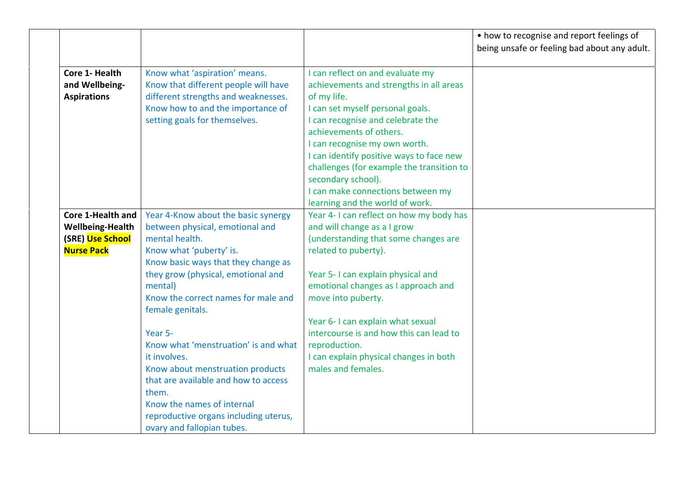|                                                                                       |                                                                                                                                                                                                                                                                                                                                                                                                                                                                                                                                     |                                                                                                                                                                                                                                                                                                                                                                                                                        | • how to recognise and report feelings of<br>being unsafe or feeling bad about any adult. |
|---------------------------------------------------------------------------------------|-------------------------------------------------------------------------------------------------------------------------------------------------------------------------------------------------------------------------------------------------------------------------------------------------------------------------------------------------------------------------------------------------------------------------------------------------------------------------------------------------------------------------------------|------------------------------------------------------------------------------------------------------------------------------------------------------------------------------------------------------------------------------------------------------------------------------------------------------------------------------------------------------------------------------------------------------------------------|-------------------------------------------------------------------------------------------|
| Core 1- Health<br>and Wellbeing-<br><b>Aspirations</b>                                | Know what 'aspiration' means.<br>Know that different people will have<br>different strengths and weaknesses.<br>Know how to and the importance of<br>setting goals for themselves.                                                                                                                                                                                                                                                                                                                                                  | I can reflect on and evaluate my<br>achievements and strengths in all areas<br>of my life.<br>I can set myself personal goals.<br>I can recognise and celebrate the<br>achievements of others.<br>I can recognise my own worth.<br>I can identify positive ways to face new<br>challenges (for example the transition to<br>secondary school).<br>I can make connections between my<br>learning and the world of work. |                                                                                           |
| Core 1-Health and<br><b>Wellbeing-Health</b><br>(SRE) Use School<br><b>Nurse Pack</b> | Year 4-Know about the basic synergy<br>between physical, emotional and<br>mental health.<br>Know what 'puberty' is.<br>Know basic ways that they change as<br>they grow (physical, emotional and<br>mental)<br>Know the correct names for male and<br>female genitals.<br>Year 5-<br>Know what 'menstruation' is and what<br>it involves.<br>Know about menstruation products<br>that are available and how to access<br>them.<br>Know the names of internal<br>reproductive organs including uterus,<br>ovary and fallopian tubes. | Year 4-1 can reflect on how my body has<br>and will change as a I grow<br>(understanding that some changes are<br>related to puberty).<br>Year 5-1 can explain physical and<br>emotional changes as I approach and<br>move into puberty.<br>Year 6- I can explain what sexual<br>intercourse is and how this can lead to<br>reproduction.<br>I can explain physical changes in both<br>males and females.              |                                                                                           |